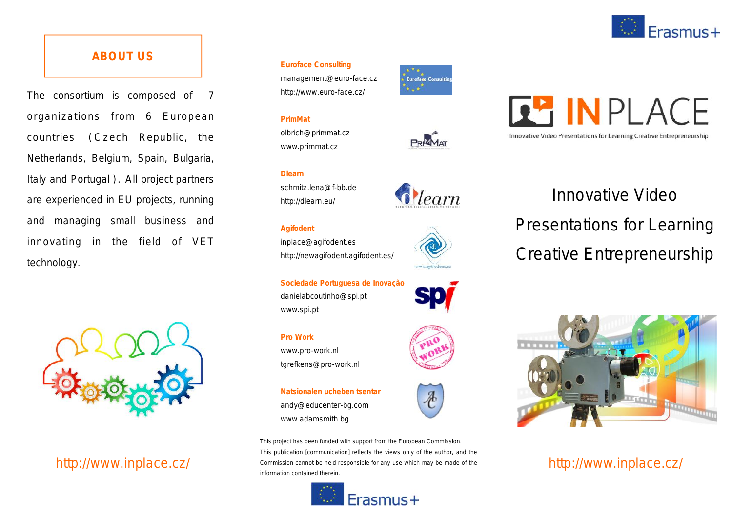

## **ABOUT US**

The consortium is composed of 7 organizations from 6 European The consortium is composed of 7<br>organizations from 6 European<br>countries (Czech Republic, the<br>Netherlands Belgium Spain Bulgaria Netherlands, Belgium, Spain, Bulgaria, countries (Czech Republic, the<br>Netherlands, Belgium, Spain, Bulgaria,<br>Italy and Portugal ). All project partners are experienced in EU projects, running and managing small business and innovating in the field of VET technology.



## http://www.inplace.cz/

#### **Euroface Consulting**

management@euro-face.cz http://www.euro-face.cz/

#### **PrimMat**

olbrich@primmat.cz www.primmat.cz

#### **Dlearn**

schmitz.lena@f-bb.de http://dlearn.eu/

#### **Agifodent**

inplace@agifodent.es http://newagifodent.agifodent.es/

**Sociedade Portuguesa de Inovação** danielabcoutinho@spi.pt www.spi.pt



*<u>Dlearn*</u>



www.pro-work.nl tgrefkens@pro-work.nl

**Natsionalen ucheben tsentar** andy@educenter-bg.com www.adamsmith.bg

*This project has been funded with support from the European Commission. This publication [communication] reflects the views only of the author, and the Commission cannot be held responsible for any use which may be made of the information contained therein.*







# Innovative Video Presentations for Learning Creative Entrepreneurship





http://www.inplace.cz/